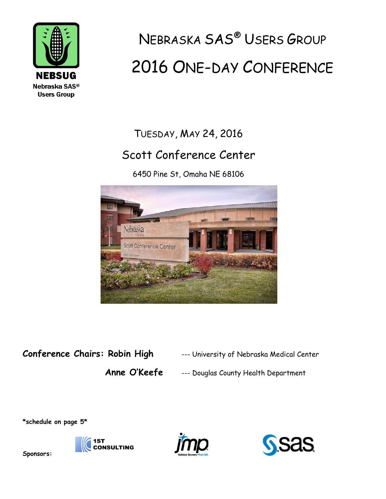

# NEBRASKA SAS® USERS GROUP 2016 ONE-DAY CONFERENCE

### TUESDAY, MAY 24, 2016

### Scott Conference Center

6450 Pine St, Omaha NE 68106



### **Conference Chairs: Robin High** --- University of Nebraska Medical Center

**Anne O'Keefe** --- Douglas County Health Department

**\*schedule on page 5\***







**Sponsors:**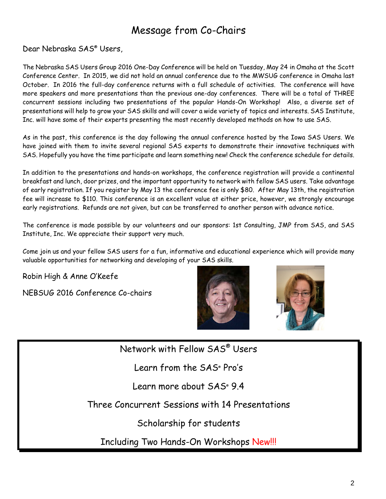### Message from Co-Chairs

Dear Nebraska SAS® Users,

The Nebraska SAS Users Group 2016 One-Day Conference will be held on Tuesday, May 24 in Omaha at the Scott Conference Center. In 2015, we did not hold an annual conference due to the MWSUG conference in Omaha last October. In 2016 the full-day conference returns with a full schedule of activities. The conference will have more speakers and more presentations than the previous one-day conferences. There will be a total of THREE concurrent sessions including two presentations of the popular Hands-On Workshop! Also, a diverse set of presentations will help to grow your SAS skills and will cover a wide variety of topics and interests. SAS Institute, Inc. will have some of their experts presenting the most recently developed methods on how to use SAS.

As in the past, this conference is the day following the annual conference hosted by the Iowa SAS Users. We have joined with them to invite several regional SAS experts to demonstrate their innovative techniques with SAS. Hopefully you have the time participate and learn something new! Check the conference schedule for details.

In addition to the presentations and hands-on workshops, the conference registration will provide a continental breakfast and lunch, door prizes, and the important opportunity to network with fellow SAS users. Take advantage of early registration. If you register by May 13 the conference fee is only \$80. After May 13th, the registration fee will increase to \$110. This conference is an excellent value at either price, however, we strongly encourage early registrations. Refunds are not given, but can be transferred to another person with advance notice.

The conference is made possible by our volunteers and our sponsors: 1st Consulting, JMP from SAS, and SAS Institute, Inc. We appreciate their support very much.

Come join us and your fellow SAS users for a fun, informative and educational experience which will provide many valuable opportunities for networking and developing of your SAS skills.

Robin High & Anne O'Keefe

NEBSUG 2016 Conference Co-chairs





Network with Fellow SAS® Users

Learn from the SAS® Pro's

Learn more about SAS<sup>®</sup> 9.4

Three Concurrent Sessions with 14 Presentations

Scholarship for students

Including Two Hands-On Workshops New!!!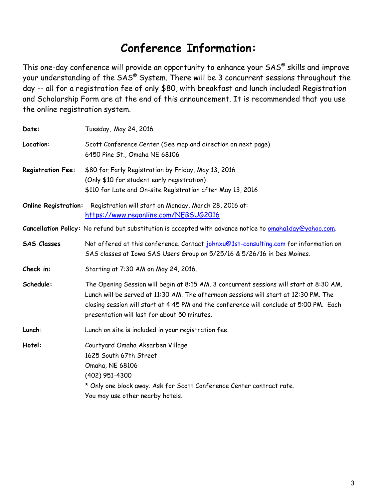### **Conference Information:**

This one-day conference will provide an opportunity to enhance your SAS® skills and improve your understanding of the SAS® System. There will be 3 concurrent sessions throughout the day -- all for a registration fee of only \$80, with breakfast and lunch included! Registration and Scholarship Form are at the end of this announcement. It is recommended that you use the online registration system.

| Date:                       | Tuesday, May 24, 2016                                                                                                                                                                                                                                                                                                      |  |  |
|-----------------------------|----------------------------------------------------------------------------------------------------------------------------------------------------------------------------------------------------------------------------------------------------------------------------------------------------------------------------|--|--|
| Location:                   | Scott Conference Center (See map and direction on next page)<br>6450 Pine St., Omaha NE 68106                                                                                                                                                                                                                              |  |  |
| <b>Registration Fee:</b>    | \$80 for Early Registration by Friday, May 13, 2016<br>(Only \$10 for student early registration)<br>\$110 for Late and On-site Registration after May 13, 2016                                                                                                                                                            |  |  |
| <b>Online Registration:</b> | Registration will start on Monday, March 28, 2016 at:<br>https://www.regonline.com/NEBSUG2016                                                                                                                                                                                                                              |  |  |
|                             | Cancellation Policy: No refund but substitution is accepted with advance notice to omahalday@yahoo.com.                                                                                                                                                                                                                    |  |  |
| <b>SAS Classes</b>          | Not offered at this conference. Contact johnxu@1st-consulting.com for information on<br>SAS classes at Iowa SAS Users Group on 5/25/16 & 5/26/16 in Des Moines.                                                                                                                                                            |  |  |
| Check in:                   | Starting at 7:30 AM on May 24, 2016.                                                                                                                                                                                                                                                                                       |  |  |
| Schedule:                   | The Opening Session will begin at 8:15 AM. 3 concurrent sessions will start at 8:30 AM.<br>Lunch will be served at 11:30 AM. The afternoon sessions will start at 12:30 PM. The<br>closing session will start at 4:45 PM and the conference will conclude at 5:00 PM. Each<br>presentation will last for about 50 minutes. |  |  |
| Lunch:                      | Lunch on site is included in your registration fee.                                                                                                                                                                                                                                                                        |  |  |
| Hotel:                      | Courtyard Omaha Aksarben Village<br>1625 South 67th Street<br>Omaha, NE 68106<br>(402) 951-4300<br>* Only one block away. Ask for Scott Conference Center contract rate.<br>You may use other nearby hotels.                                                                                                               |  |  |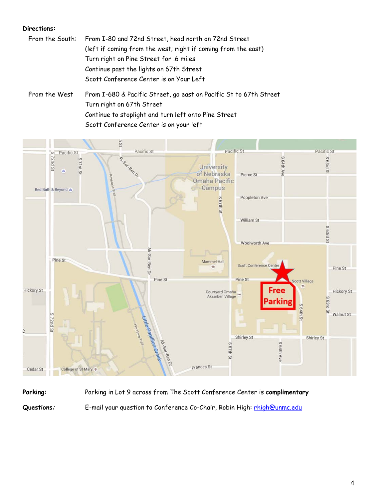#### **Directions:**

- From the South: From I-80 and 72nd Street, head north on 72nd Street (left if coming from the west; right if coming from the east) Turn right on Pine Street for .6 miles Continue past the lights on 67th Street Scott Conference Center is on Your Left
- From the West From I-680 & Pacific Street, go east on Pacific St to 67th Street Turn right on 67th Street Continue to stoplight and turn left onto Pine Street Scott Conference Center is on your left



**Parking:** Parking in Lot 9 across from The Scott Conference Center is **complimentary** Questions: E-mail your question to Conference Co-Chair, Robin High: [rhigh@unmc.edu](mailto:rhigh@unmc.edu)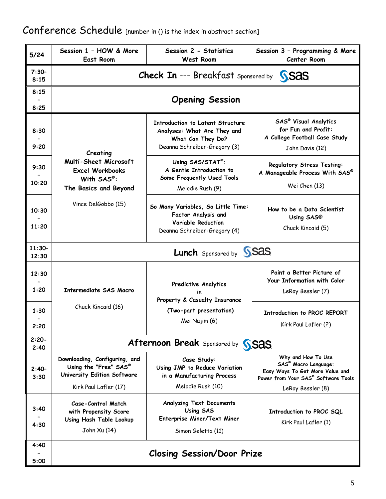| $5/24$            | Session 1 - HOW & More<br>East Room                                                                            | Session 2 - Statistics<br>West Room                                                                                         | Session 3 - Programming & More<br><b>Center Room</b>                                                                                                        |  |  |
|-------------------|----------------------------------------------------------------------------------------------------------------|-----------------------------------------------------------------------------------------------------------------------------|-------------------------------------------------------------------------------------------------------------------------------------------------------------|--|--|
| $7:30-$<br>8:15   | <b>Check In --- Breakfast sponsored by</b><br><b>SSAS</b>                                                      |                                                                                                                             |                                                                                                                                                             |  |  |
| 8:15<br>8:25      | <b>Opening Session</b>                                                                                         |                                                                                                                             |                                                                                                                                                             |  |  |
| 8:30<br>9:20      | Creating                                                                                                       | <b>Introduction to Latent Structure</b><br>Analyses: What Are They and<br>What Can They Do?<br>Deanna Schreiber-Gregory (3) | <b>SAS<sup>®</sup> Visual Analytics</b><br>for Fun and Profit:<br>A College Football Case Study<br>John Davis (12)                                          |  |  |
| 9:30<br>10:20     | Multi-Sheet Microsoft<br><b>Excel Workbooks</b><br>With SAS®:<br>The Basics and Beyond                         | Using SAS/STAT®:<br>A Gentle Introduction to<br>Some Frequently Used Tools<br>Melodie Rush (9)                              | <b>Regulatory Stress Testing:</b><br>A Manageable Process With SAS®<br>Wei Chen (13)                                                                        |  |  |
| 10:30<br>11:20    | Vince DelGobbo (15)                                                                                            | So Many Variables, So Little Time:<br>Factor Analysis and<br>Variable Reduction<br>Deanna Schreiber-Gregory (4)             | How to be a Data Scientist<br>Using SAS®<br>Chuck Kincaid (5)                                                                                               |  |  |
| $11:30-$<br>12:30 | <b>Lunch</b> Sponsored by <b>SSAS</b> .                                                                        |                                                                                                                             |                                                                                                                                                             |  |  |
| 12:30<br>1:20     | <b>Intermediate SAS Macro</b>                                                                                  | Predictive Analytics<br>Property & Casualty Insurance                                                                       | Paint a Better Picture of<br>Your Information with Color<br>LeRoy Bessler (7)                                                                               |  |  |
| 1:30<br>2:20      | Chuck Kincaid (16)                                                                                             | (Two-part presentation)<br>Mei Najim (6)                                                                                    | Introduction to PROC REPORT<br>Kirk Paul Lafler (2)                                                                                                         |  |  |
| $2:20-$<br>2:40   | <b>Afternoon Break</b> Sponsored by<br><b>SSAS</b>                                                             |                                                                                                                             |                                                                                                                                                             |  |  |
| $2:40-$<br>3:30   | Downloading, Configuring, and<br>Using the "Free" SAS®<br>University Edition Software<br>Kirk Paul Lafler (17) | Case Study:<br>Using JMP to Reduce Variation<br>in a Manufacturing Process<br>Melodie Rush (10)                             | Why and How To Use<br><b>SAS<sup>®</sup> Macro Language:</b><br>Easy Ways To Get More Value and<br>Power from Your SAS® Software Tools<br>LeRoy Bessler (8) |  |  |
| 3:40<br>4:30      | Case-Control Match<br>with Propensity Score<br>Using Hash Table Lookup<br>John Xu (14)                         | <b>Analyzing Text Documents</b><br>Using SAS<br>Enterprise Miner/Text Miner<br>Simon Geletta (11)                           | Introduction to PROC SQL<br>Kirk Paul Lafler (1)                                                                                                            |  |  |
| 4:40<br>5:00      |                                                                                                                | <b>Closing Session/Door Prize</b>                                                                                           |                                                                                                                                                             |  |  |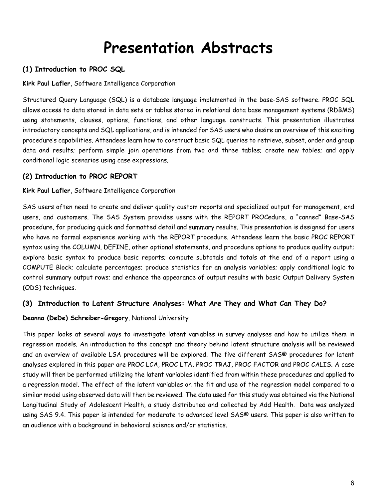## **Presentation Abstracts**

#### **(1) Introduction to PROC SQL**

**Kirk Paul Lafler**, Software Intelligence Corporation

Structured Query Language (SQL) is a database language implemented in the base-SAS software. PROC SQL allows access to data stored in data sets or tables stored in relational data base management systems (RDBMS) using statements, clauses, options, functions, and other language constructs. This presentation illustrates introductory concepts and SQL applications, and is intended for SAS users who desire an overview of this exciting procedure's capabilities. Attendees learn how to construct basic SQL queries to retrieve, subset, order and group data and results; perform simple join operations from two and three tables; create new tables; and apply conditional logic scenarios using case expressions.

#### **(2) Introduction to PROC REPORT**

#### **Kirk Paul Lafler**, Software Intelligence Corporation

SAS users often need to create and deliver quality custom reports and specialized output for management, end users, and customers. The SAS System provides users with the REPORT PROCedure, a "canned" Base-SAS procedure, for producing quick and formatted detail and summary results. This presentation is designed for users who have no formal experience working with the REPORT procedure. Attendees learn the basic PROC REPORT syntax using the COLUMN, DEFINE, other optional statements, and procedure options to produce quality output; explore basic syntax to produce basic reports; compute subtotals and totals at the end of a report using a COMPUTE Block; calculate percentages; produce statistics for an analysis variables; apply conditional logic to control summary output rows; and enhance the appearance of output results with basic Output Delivery System (ODS) techniques.

#### **(3) Introduction to Latent Structure Analyses: What Are They and What Can They Do?**

#### **Deanna (DeDe) Schreiber-Gregory**, National University

This paper looks at several ways to investigate latent variables in survey analyses and how to utilize them in regression models. An introduction to the concept and theory behind latent structure analysis will be reviewed and an overview of available LSA procedures will be explored. The five different SAS® procedures for latent analyses explored in this paper are PROC LCA, PROC LTA, PROC TRAJ, PROC FACTOR and PROC CALIS. A case study will then be performed utilizing the latent variables identified from within these procedures and applied to a regression model. The effect of the latent variables on the fit and use of the regression model compared to a similar model using observed data will then be reviewed. The data used for this study was obtained via the National Longitudinal Study of Adolescent Health, a study distributed and collected by Add Health. Data was analyzed using SAS 9.4. This paper is intended for moderate to advanced level SAS® users. This paper is also written to an audience with a background in behavioral science and/or statistics.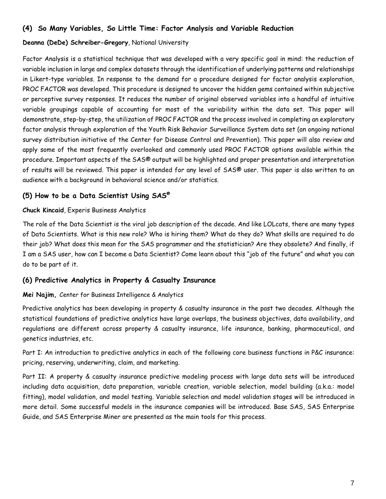#### **(4) So Many Variables, So Little Time: Factor Analysis and Variable Reduction**

#### **Deanna (DeDe) Schreiber-Gregory**, National University

Factor Analysis is a statistical technique that was developed with a very specific goal in mind: the reduction of variable inclusion in large and complex datasets through the identification of underlying patterns and relationships in Likert-type variables. In response to the demand for a procedure designed for factor analysis exploration, PROC FACTOR was developed. This procedure is designed to uncover the hidden gems contained within subjective or perceptive survey responses. It reduces the number of original observed variables into a handful of intuitive variable groupings capable of accounting for most of the variability within the data set. This paper will demonstrate, step-by-step, the utilization of PROC FACTOR and the process involved in completing an exploratory factor analysis through exploration of the Youth Risk Behavior Surveillance System data set (an ongoing national survey distribution initiative of the Center for Disease Control and Prevention). This paper will also review and apply some of the most frequently overlooked and commonly used PROC FACTOR options available within the procedure. Important aspects of the SAS® output will be highlighted and proper presentation and interpretation of results will be reviewed. This paper is intended for any level of SAS® user. This paper is also written to an audience with a background in behavioral science and/or statistics.

#### **(5) How to be a Data Scientist Using SAS®**

#### **Chuck Kincaid**, Experis Business Analytics

The role of the Data Scientist is the viral job description of the decade. And like LOLcats, there are many types of Data Scientists. What is this new role? Who is hiring them? What do they do? What skills are required to do their job? What does this mean for the SAS programmer and the statistician? Are they obsolete? And finally, if I am a SAS user, how can I become a Data Scientist? Come learn about this "job of the future" and what you can do to be part of it.

#### **(6) Predictive Analytics in Property & Casualty Insurance**

#### **Mei Najim,** Center for Business Intelligence & Analytics

Predictive analytics has been developing in property & casualty insurance in the past two decades. Although the statistical foundations of predictive analytics have large overlaps, the business objectives, data availability, and regulations are different across property & casualty insurance, life insurance, banking, pharmaceutical, and genetics industries, etc.

Part I: An introduction to predictive analytics in each of the following core business functions in P&C insurance: pricing, reserving, underwriting, claim, and marketing.

Part II: A property & casualty insurance predictive modeling process with large data sets will be introduced including data acquisition, data preparation, variable creation, variable selection, model building (a.k.a.: model fitting), model validation, and model testing. Variable selection and model validation stages will be introduced in more detail. Some successful models in the insurance companies will be introduced. Base SAS, SAS Enterprise Guide, and SAS Enterprise Miner are presented as the main tools for this process.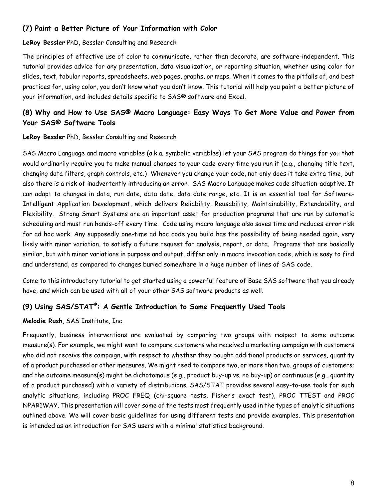#### **(7) Paint a Better Picture of Your Information with Color**

#### **LeRoy Bessler** PhD, Bessler Consulting and Research

The principles of effective use of color to communicate, rather than decorate, are software-independent. This tutorial provides advice for any presentation, data visualization, or reporting situation, whether using color for slides, text, tabular reports, spreadsheets, web pages, graphs, or maps. When it comes to the pitfalls of, and best practices for, using color, you don't know what you don't know. This tutorial will help you paint a better picture of your information, and includes details specific to SAS® software and Excel.

#### **(8) Why and How to Use SAS® Macro Language: Easy Ways To Get More Value and Power from Your SAS® Software Tools**

**LeRoy Bessler** PhD, Bessler Consulting and Research

SAS Macro Language and macro variables (a.k.a. symbolic variables) let your SAS program do things for you that would ordinarily require you to make manual changes to your code every time you run it (e.g., changing title text, changing data filters, graph controls, etc.) Whenever you change your code, not only does it take extra time, but also there is a risk of inadvertently introducing an error. SAS Macro Language makes code situation-adaptive. It can adapt to changes in data, run date, data date, data date range, etc. It is an essential tool for Software-Intelligent Application Development, which delivers Reliability, Reusability, Maintainability, Extendability, and Flexibility. Strong Smart Systems are an important asset for production programs that are run by automatic scheduling and must run hands-off every time. Code using macro language also saves time and reduces error risk for ad hoc work. Any supposedly one-time ad hoc code you build has the possibility of being needed again, very likely with minor variation, to satisfy a future request for analysis, report, or data. Programs that are basically similar, but with minor variations in purpose and output, differ only in macro invocation code, which is easy to find and understand, as compared to changes buried somewhere in a huge number of lines of SAS code.

Come to this introductory tutorial to get started using a powerful feature of Base SAS software that you already have, and which can be used with all of your other SAS software products as well.

#### **(9) Using SAS/STAT®: A Gentle Introduction to Some Frequently Used Tools**

**Melodie Rush**, SAS Institute, Inc.

Frequently, business interventions are evaluated by comparing two groups with respect to some outcome measure(s). For example, we might want to compare customers who received a marketing campaign with customers who did not receive the campaign, with respect to whether they bought additional products or services, quantity of a product purchased or other measures. We might need to compare two, or more than two, groups of customers; and the outcome measure(s) might be dichotomous (e.g., product buy-up vs. no buy-up) or continuous (e.g., quantity of a product purchased) with a variety of distributions. SAS/STAT provides several easy-to-use tools for such analytic situations, including PROC FREQ (chi-square tests, Fisher's exact test), PROC TTEST and PROC NPAR1WAY. This presentation will cover some of the tests most frequently used in the types of analytic situations outlined above. We will cover basic guidelines for using different tests and provide examples. This presentation is intended as an introduction for SAS users with a minimal statistics background.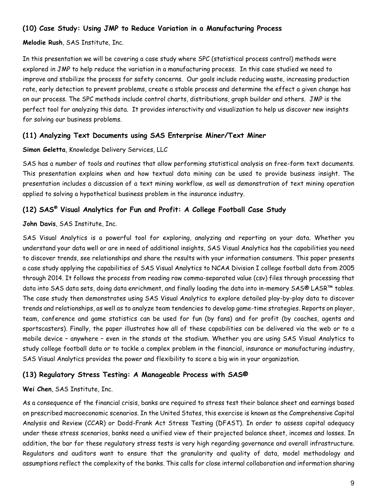#### **(10) Case Study: Using JMP to Reduce Variation in a Manufacturing Process**

#### **Melodie Rush**, SAS Institute, Inc.

In this presentation we will be covering a case study where SPC (statistical process control) methods were explored in JMP to help reduce the variation in a manufacturing process. In this case studied we need to improve and stabilize the process for safety concerns. Our goals include reducing waste, increasing production rate, early detection to prevent problems, create a stable process and determine the effect a given change has on our process. The SPC methods include control charts, distributions, graph builder and others. JMP is the perfect tool for analyzing this data. It provides interactivity and visualization to help us discover new insights for solving our business problems.

#### **(11) Analyzing Text Documents using SAS Enterprise Miner/Text Miner**

#### **Simon Geletta**, Knowledge Delivery Services, LLC

SAS has a number of tools and routines that allow performing statistical analysis on free-form text documents. This presentation explains when and how textual data mining can be used to provide business insight. The presentation includes a discussion of a text mining workflow, as well as demonstration of text mining operation applied to solving a hypothetical business problem in the insurance industry.

#### **(12) SAS® Visual Analytics for Fun and Profit: A College Football Case Study**

#### **John Davis**, SAS Institute, Inc.

SAS Visual Analytics is a powerful tool for exploring, analyzing and reporting on your data. Whether you understand your data well or are in need of additional insights, SAS Visual Analytics has the capabilities you need to discover trends, see relationships and share the results with your information consumers. This paper presents a case study applying the capabilities of SAS Visual Analytics to NCAA Division I college football data from 2005 through 2014. It follows the process from reading raw comma-separated value (csv) files through processing that data into SAS data sets, doing data enrichment, and finally loading the data into in-memory SAS® LASR™ tables. The case study then demonstrates using SAS Visual Analytics to explore detailed play-by-play data to discover trends and relationships, as well as to analyze team tendencies to develop game-time strategies. Reports on player, team, conference and game statistics can be used for fun (by fans) and for profit (by coaches, agents and sportscasters). Finally, the paper illustrates how all of these capabilities can be delivered via the web or to a mobile device – anywhere – even in the stands at the stadium. Whether you are using SAS Visual Analytics to study college football data or to tackle a complex problem in the financial, insurance or manufacturing industry, SAS Visual Analytics provides the power and flexibility to score a big win in your organization.

#### **(13) Regulatory Stress Testing: A Manageable Process with SAS®**

#### **Wei Chen**, SAS Institute, Inc.

As a consequence of the financial crisis, banks are required to stress test their balance sheet and earnings based on prescribed macroeconomic scenarios. In the United States, this exercise is known as the Comprehensive Capital Analysis and Review (CCAR) or Dodd-Frank Act Stress Testing (DFAST). In order to assess capital adequacy under these stress scenarios, banks need a unified view of their projected balance sheet, incomes and losses. In addition, the bar for these regulatory stress tests is very high regarding governance and overall infrastructure. Regulators and auditors want to ensure that the granularity and quality of data, model methodology and assumptions reflect the complexity of the banks. This calls for close internal collaboration and information sharing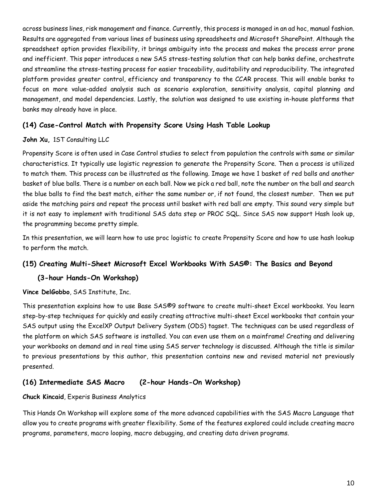across business lines, risk management and finance. Currently, this process is managed in an ad hoc, manual fashion. Results are aggregated from various lines of business using spreadsheets and Microsoft SharePoint. Although the spreadsheet option provides flexibility, it brings ambiguity into the process and makes the process error prone and inefficient. This paper introduces a new SAS stress-testing solution that can help banks define, orchestrate and streamline the stress-testing process for easier traceability, auditability and reproducibility. The integrated platform provides greater control, efficiency and transparency to the CCAR process. This will enable banks to focus on more value-added analysis such as scenario exploration, sensitivity analysis, capital planning and management, and model dependencies. Lastly, the solution was designed to use existing in-house platforms that banks may already have in place.

#### **(14) Case-Control Match with Propensity Score Using Hash Table Lookup**

#### **John Xu,** 1ST Consulting LLC

Propensity Score is often used in Case Control studies to select from population the controls with same or similar characteristics. It typically use logistic regression to generate the Propensity Score. Then a process is utilized to match them. This process can be illustrated as the following. Image we have 1 basket of red balls and another basket of blue balls. There is a number on each ball. Now we pick a red ball, note the number on the ball and search the blue balls to find the best match, either the same number or, if not found, the closest number. Then we put aside the matching pairs and repeat the process until basket with red ball are empty. This sound very simple but it is not easy to implement with traditional SAS data step or PROC SQL. Since SAS now support Hash look up, the programming become pretty simple.

In this presentation, we will learn how to use proc logistic to create Propensity Score and how to use hash lookup to perform the match.

#### **(15) Creating Multi-Sheet Microsoft Excel Workbooks With SAS®: The Basics and Beyond**

#### **(3-hour Hands-On Workshop)**

**Vince DelGobbo**, SAS Institute, Inc.

This presentation explains how to use Base SAS®9 software to create multi-sheet Excel workbooks. You learn step-by-step techniques for quickly and easily creating attractive multi-sheet Excel workbooks that contain your SAS output using the ExcelXP Output Delivery System (ODS) tagset. The techniques can be used regardless of the platform on which SAS software is installed. You can even use them on a mainframe! Creating and delivering your workbooks on demand and in real time using SAS server technology is discussed. Although the title is similar to previous presentations by this author, this presentation contains new and revised material not previously presented.

#### **(16) Intermediate SAS Macro (2-hour Hands-On Workshop)**

#### **Chuck Kincaid**, Experis Business Analytics

This Hands On Workshop will explore some of the more advanced capabilities with the SAS Macro Language that allow you to create programs with greater flexibility. Some of the features explored could include creating macro programs, parameters, macro looping, macro debugging, and creating data driven programs.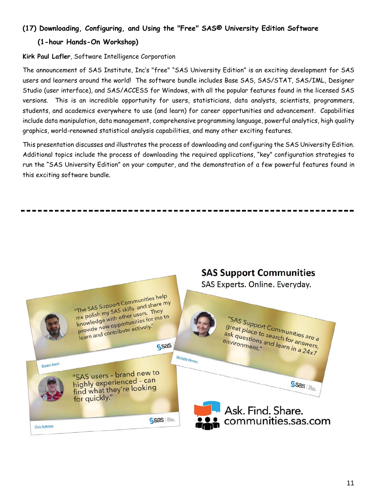#### **(17) Downloading, Configuring, and Using the "Free" SAS® University Edition Software**

#### **(1-hour Hands-On Workshop)**

#### **Kirk Paul Lafler**, Software Intelligence Corporation

The announcement of SAS Institute, Inc's "free" "SAS University Edition" is an exciting development for SAS users and learners around the world! The software bundle includes Base SAS, SAS/STAT, SAS/IML, Designer Studio (user interface), and SAS/ACCESS for Windows, with all the popular features found in the licensed SAS versions. This is an incredible opportunity for users, statisticians, data analysts, scientists, programmers, students, and academics everywhere to use (and learn) for career opportunities and advancement. Capabilities include data manipulation, data management, comprehensive programming language, powerful analytics, high quality graphics, world-renowned statistical analysis capabilities, and many other exciting features.

This presentation discusses and illustrates the process of downloading and configuring the SAS University Edition. Additional topics include the process of downloading the required applications, "key" configuration strategies to run the "SAS University Edition" on your computer, and the demonstration of a few powerful features found in this exciting software bundle.

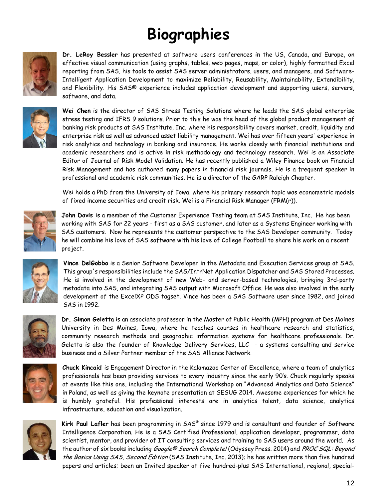## **Biographies**



**Dr. LeRoy Bessler** has presented at software users conferences in the US, Canada, and Europe, on effective visual communication (using graphs, tables, web pages, maps, or color), highly formatted Excel reporting from SAS, his tools to assist SAS server administrators, users, and managers, and Software-Intelligent Application Development to maximize Reliability, Reusability, Maintainability, Extendibility, and Flexibility. His SAS® experience includes application development and supporting users, servers, software, and data.



**Wei Chen** is the director of SAS Stress Testing Solutions where he leads the SAS global enterprise stress testing and IFRS 9 solutions. Prior to this he was the head of the global product management of banking risk products at SAS Institute, Inc. where his responsibility covers market, credit, liquidity and enterprise risk as well as advanced asset liability management. Wei has over fifteen years' experience in risk analytics and technology in banking and insurance. He works closely with financial institutions and academic researchers and is active in risk methodology and technology research. Wei is an Associate Editor of Journal of Risk Model Validation. He has recently published a Wiley Finance book on Financial Risk Management and has authored many papers in financial risk journals. He is a frequent speaker in professional and academic risk communities. He is a director of the GARP Raleigh Chapter.

Wei holds a PhD from the University of Iowa, where his primary research topic was econometric models of fixed income securities and credit risk. Wei is a Financial Risk Manager (FRM(r)).



**John Davis** is a member of the Customer Experience Testing team at SAS Institute, Inc. He has been working with SAS for 22 years - first as a SAS customer, and later as a Systems Engineer working with SAS customers. Now he represents the customer perspective to the SAS Developer community. Today he will combine his love of SAS software with his love of College Football to share his work on a recent project.



**Vince DelGobbo** is a Senior Software Developer in the Metadata and Execution Services group at SAS. This group's responsibilities include the SAS/IntrNet Application Dispatcher and SAS Stored Processes. He is involved in the development of new Web- and server-based technologies, bringing 3rd-party metadata into SAS, and integrating SAS output with Microsoft Office. He was also involved in the early development of the ExcelXP ODS tagset. Vince has been a SAS Software user since 1982, and joined SAS in 1992.



**Dr. Simon Geletta** is an associate professor in the Master of Public Health (MPH) program at Des Moines University in Des Moines, Iowa, where he teaches courses in healthcare research and statistics, community research methods and geographic information systems for healthcare professionals. Dr. Geletta is also the founder of Knowledge Delivery Services, LLC - a systems consulting and service business and a Silver Partner member of the SAS Alliance Network.



**Chuck Kincaid** is Engagement Director in the Kalamazoo Center of Excellence, where a team of analytics professionals has been providing services to every industry since the early 90's. Chuck regularly speaks at events like this one, including the International Workshop on "Advanced Analytics and Data Science" in Poland, as well as giving the keynote presentation at SESUG 2014. Awesome experiences for which he is humbly grateful. His professional interests are in analytics talent, data science, analytics infrastructure, education and visualization.



**Kirk Paul Lafler** has been programming in SAS® since 1979 and is consultant and founder of Software Intelligence Corporation. He is a SAS Certified Professional, application developer, programmer, data scientist, mentor, and provider of IT consulting services and training to SAS users around the world. As the author of six books including *Google® Search Complete!* (Odyssey Press. 2014) and *PROC SQL: Beyond* the Basics Using SAS, Second Edition (SAS Institute, Inc. 2013); he has written more than five hundred papers and articles; been an Invited speaker at five hundred-plus SAS International, regional, special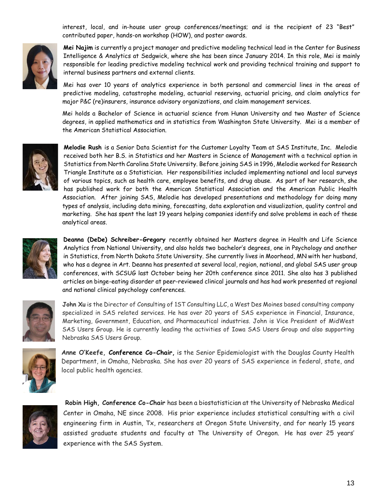interest, local, and in-house user group conferences/meetings; and is the recipient of 23 "Best" contributed paper, hands-on workshop (HOW), and poster awards.



**Mei Najim** is currently a project manager and predictive modeling technical lead in the Center for Business Intelligence & Analytics at Sedgwick, where she has been since January 2014. In this role, Mei is mainly responsible for leading predictive modeling technical work and providing technical training and support to internal business partners and external clients.

Mei has over 10 years of analytics experience in both personal and commercial lines in the areas of predictive modeling, catastrophe modeling, actuarial reserving, actuarial pricing, and claim analytics for major P&C (re)insurers, insurance advisory organizations, and claim management services.

Mei holds a Bachelor of Science in actuarial science from Hunan University and two Master of Science degrees, in applied mathematics and in statistics from Washington State University. Mei is a member of the American Statistical Association.



**Melodie Rush** is a Senior Data Scientist for the Customer Loyalty Team at SAS Institute, Inc. Melodie received both her B.S. in Statistics and her Masters in Science of Management with a technical option in Statistics from North Carolina State University. Before joining SAS in 1996, Melodie worked for Research Triangle Institute as a Statistician. Her responsibilities included implementing national and local surveys of various topics, such as health care, employee benefits, and drug abuse. As part of her research, she has published work for both the American Statistical Association and the American Public Health Association. After joining SAS, Melodie has developed presentations and methodology for doing many types of analysis, including data mining, forecasting, data exploration and visualization, quality control and marketing. She has spent the last 19 years helping companies identify and solve problems in each of these analytical areas.



**Deanna (DeDe) Schreiber-Gregory** recently obtained her Masters degree in Health and Life Science Analytics from National University, and also holds two bachelor's degrees, one in Psychology and another in Statistics, from North Dakota State University. She currently lives in Moorhead, MN with her husband, who has a degree in Art. Deanna has presented at several local, region, national, and global SAS user group conferences, with SCSUG last October being her 20th conference since 2011. She also has 3 published articles on binge-eating disorder at peer-reviewed clinical journals and has had work presented at regional and national clinical psychology conferences.



**John Xu** is the Director of Consulting of 1ST Consulting LLC, a West Des Moines based consulting company specialized in SAS related services. He has over 20 years of SAS experience in Financial, Insurance, Marketing, Government, Education, and Pharmaceutical industries. John is Vice President of MidWest SAS Users Group. He is currently leading the activities of Iowa SAS Users Group and also supporting Nebraska SAS Users Group.



**Anne O'Keefe, Conference Co-Chair,** is the Senior Epidemiologist with the Douglas County Health Department, in Omaha, Nebraska. She has over 20 years of SAS experience in federal, state, and local public health agencies.



**Robin High, Conference Co-Chair** has been a biostatistician at the University of Nebraska Medical Center in Omaha, NE since 2008. His prior experience includes statistical consulting with a civil engineering firm in Austin, Tx, researchers at Oregon State University, and for nearly 15 years assisted graduate students and faculty at The University of Oregon. He has over 25 years' experience with the SAS System.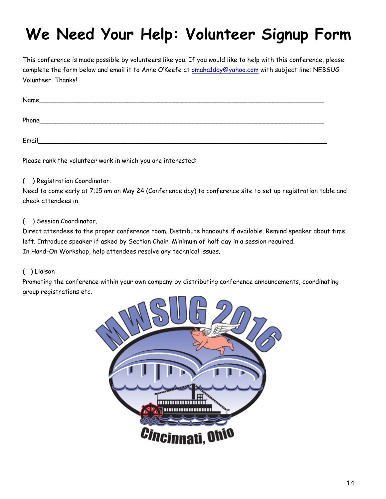## **We Need Your Help: Volunteer Signup Form**

This conference is made possible by volunteers like you. If you would like to help with this conference, please complete the form below and email it to Anne O'Keefe at **omaha1day@yahoo.com** with subject line: NEBSUG Volunteer. Thanks!

| Name  |  |
|-------|--|
| Phone |  |
| Email |  |

Please rank the volunteer work in which you are interested:

#### ( ) Registration Coordinator.

Need to come early at 7:15 am on May 24 (Conference day) to conference site to set up registration table and check attendees in.

#### ( ) Session Coordinator.

Direct attendees to the proper conference room. Distribute handouts if available. Remind speaker about time left. Introduce speaker if asked by Section Chair. Minimum of half day in a session required. In Hand-On Workshop, help attendees resolve any technical issues.

#### ( ) Liaison

Promoting the conference within your own company by distributing conference announcements, coordinating group registrations etc.